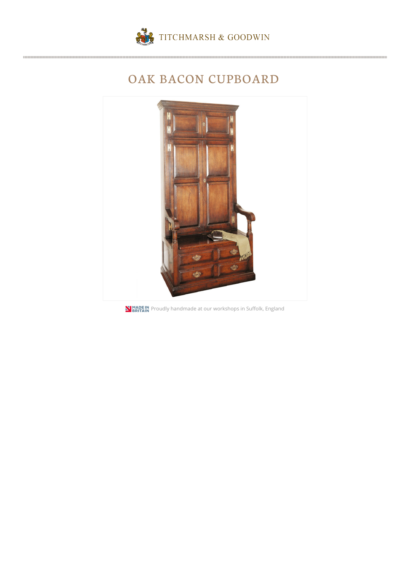

## OAK BACON CUPBOARD



**N BRITAIN** Proudly handmade at our workshops in Suffolk, England